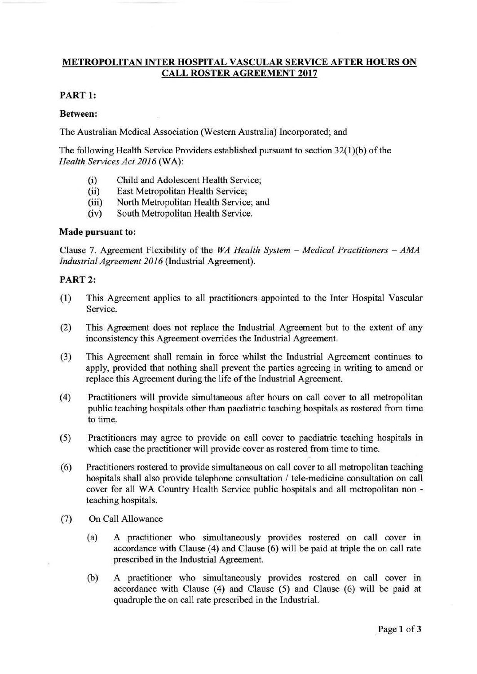# **METRO POLIT AN INTER HOSPITAL VASCULAR SERVICE AFTER HOURS ON CALL ROSTER AGREEMENT 2017**

## **PART 1:**

#### **Between:**

The Australian Medical Association (Western Australia) Incorporated; and

The following Health Service Providers established pursuant to section 32(1)(b) of the *Health Services Act 2016* (WA):

- (i) Child and Adolescent Health Service;
- (ii) East Metropolitan Health Service;
- (iii) North Metropolitan Health Service; and
- (iv) South Metropolitan Health Service.

#### **Made pursuant to:**

Clause 7. Agreement Flexibility of the *WA Health System – Medical Practitioners – AMA Industrial Agreement 2016* (Industrial Agreement).

### **PART2:**

- (1) This Agreement applies to all practitioners appointed to the Inter Hospital Vascular Service.
- (2) This Agreement does not replace the Industrial Agreement but to the extent of any inconsistency this Agreement overrides the Industrial Agreement.
- (3) This Agreement shall remain in force whilst the Industrial Agreement continues to apply, provided that nothing shall prevent the parties agreeing in writing to amend or replace this Agreement during the life of the Industrial Agreement.
- (4) Practitioners will provide simultaneous after hours on call cover to all metropolitan public teaching hospitals other than paediatric teaching hospitals as rostered from time to time.
- (5) Practitioners may agree to provide on call cover to paediatric teaching hospitals in which case the practitioner will provide cover as rostered from time to time.
- (6) Practitioners rostered to provide simultaneous on call cover to all metropolitan teaching hospitals shall also provide telephone consultation / tele-medicine consultation on call cover for all WA Country Health Service public hospitals and all metropolitan non teaching hospitals.
- (7) On Call Allowance
	- (a) A practitioner who simultaneously provides rostered on call cover in accordance with Clause (4) and Clause (6) will be paid at triple the on call rate prescribed in the Industrial Agreement.
	- (b) A practitioner who simultaneously provides rostered on call cover in accordance with Clause (4) and Clause (5) and Clause (6) will be paid at quadruple the on call rate prescribed in the Industrial.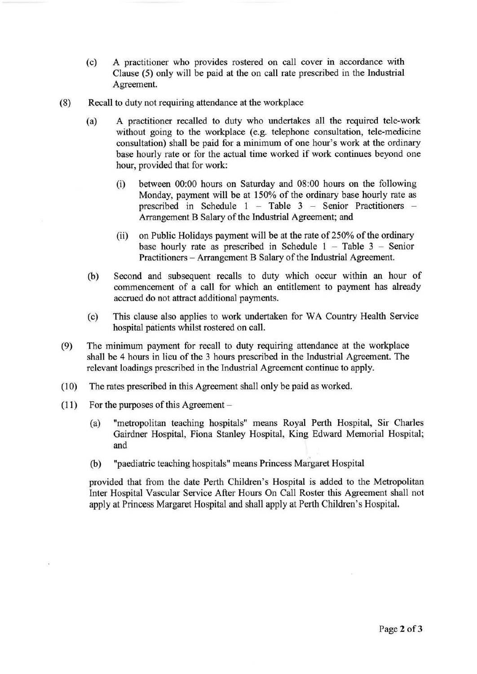- (c) A practitioner who provides rostered on call cover in accordance with Clause (5) only will be paid at the on call rate prescribed in the Industrial Agreement.
- (8) Recall to duty not requiring attendance at the workplace
	- (a) A practitioner recalled to duty who undertakes all the required tele-work without going to the workplace (e.g. telephone consultation, tele-medicine consultation) shall be paid for a minimum of one hour's work at the ordinary base hourly rate or for the actual time worked if work continues beyond one hour, provided that for work:
		- (i) between 00:00 hours on Saturday and 08:00 hours on the following Monday, payment will be at 150% of the ordinary base hourly rate as prescribed in Schedule 1 - Table 3 - Senior Practitioners -Arrangement B Salary of the Industrial Agreement; and
		- (ii) on Public Holidays payment will be at the rate of 250% of the ordinary base hourly rate as prescribed in Schedule  $1 -$  Table  $3 -$  Senior Practitioners - Arrangement B Salary of the Industrial Agreement.
	- (b) Second and subsequent recalls to duty which occur within an hour of commencement of a call for which an entitlement to payment has already accrued do not attract additional payments.
	- (c) This clause also applies to work undertaken for WA Country Health Service hospital patients whilst rostered on call.
- (9) The minimum payment for recall to duty requiring attendance at the workplace shall be 4 hours in lieu of the 3 hours prescribed in the Industrial Agreement. The relevant loadings prescribed in the Industrial Agreement continue to apply.
- (10) The rates prescribed in this Agreement shall only be paid as worked.
- $(11)$  For the purposes of this Agreement
	- (a) "metropolitan teaching hospitals" means Royal Perth Hospital, Sir Charles Gairdner Hospital, Fiona Stanley Hospital, King Edward Memorial Hospital; and
	- (b) "paediatric teaching hospitals" means Princess Margaret Hospital

provided that from the date Perth Children's Hospital is added to the Metropolitan Inter Hospital Vascular Service After Hours On Call Roster this Agreement shall not apply at Princess Margaret Hospital and shall apply at Perth Children's Hospital.